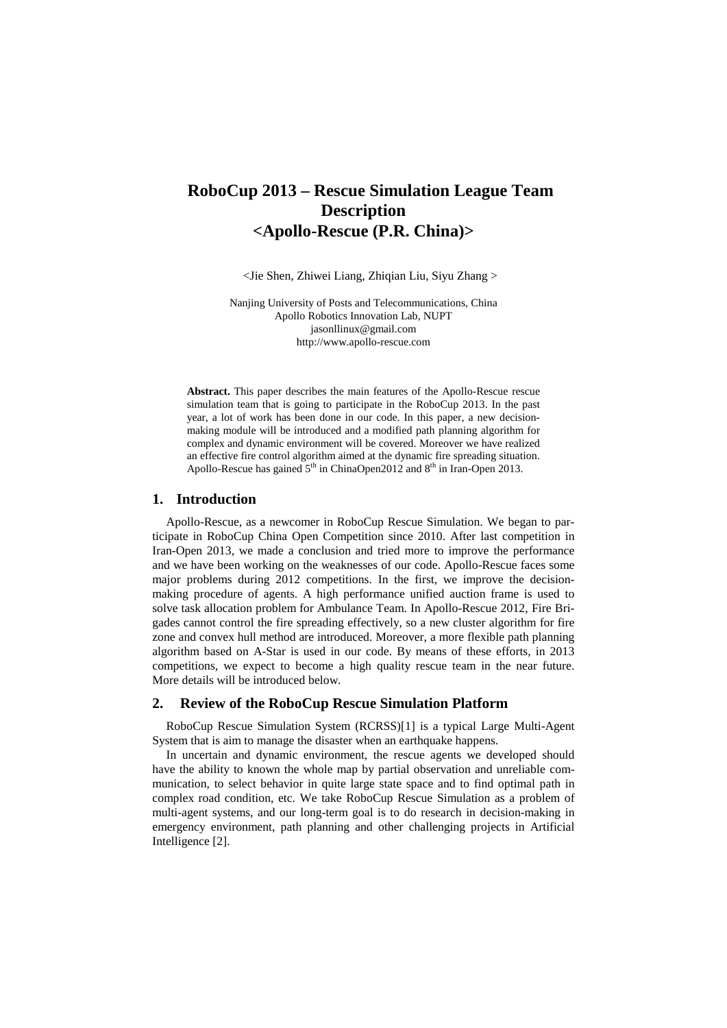# **RoboCup 2013 – Rescue Simulation League Team Description <Apollo-Rescue (P.R. China)>**

<Jie Shen, Zhiwei Liang, Zhiqian Liu, Siyu Zhang >

Nanjing University of Posts and Telecommunications, China Apollo Robotics Innovation Lab, NUPT [jasonllinux@gmail.com](mailto:jasonllinux@gmail.com) [http://www.a](http://www./)pollo-rescue.com

**Abstract.** This paper describes the main features of the Apollo-Rescue rescue simulation team that is going to participate in the RoboCup 2013. In the past year, a lot of work has been done in our code. In this paper, a new decisionmaking module will be introduced and a modified path planning algorithm for complex and dynamic environment will be covered. Moreover we have realized an effective fire control algorithm aimed at the dynamic fire spreading situation. Apollo-Rescue has gained  $5<sup>th</sup>$  in ChinaOpen2012 and  $8<sup>th</sup>$  in Iran-Open 2013.

# **1. Introduction**

Apollo-Rescue, as a newcomer in RoboCup Rescue Simulation. We began to participate in RoboCup China Open Competition since 2010. After last competition in Iran-Open 2013, we made a conclusion and tried more to improve the performance and we have been working on the weaknesses of our code. Apollo-Rescue faces some major problems during 2012 competitions. In the first, we improve the decisionmaking procedure of agents. A high performance unified auction frame is used to solve task allocation problem for Ambulance Team. In Apollo-Rescue 2012, Fire Brigades cannot control the fire spreading effectively, so a new cluster algorithm for fire zone and convex hull method are introduced. Moreover, a more flexible path planning algorithm based on A-Star is used in our code. By means of these efforts, in 2013 competitions, we expect to become a high quality rescue team in the near future. More details will be introduced below.

# **2. Review of the RoboCup Rescue Simulation Platform**

RoboCup Rescue Simulation System (RCRSS)[1] is a typical Large Multi-Agent System that is aim to manage the disaster when an earthquake happens.

In uncertain and dynamic environment, the rescue agents we developed should have the ability to known the whole map by partial observation and unreliable communication, to select behavior in quite large state space and to find optimal path in complex road condition, etc. We take RoboCup Rescue Simulation as a problem of multi-agent systems, and our long-term goal is to do research in decision-making in emergency environment, path planning and other challenging projects in Artificial Intelligence [2].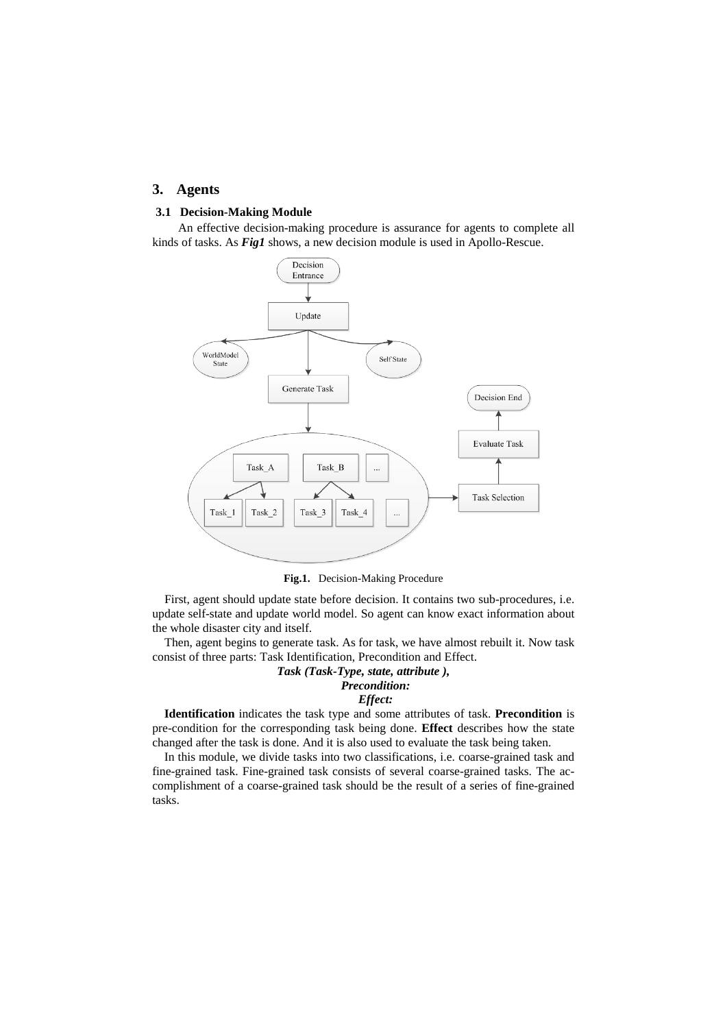### **3. Agents**

#### **3.1 Decision-Making Module**

An effective decision-making procedure is assurance for agents to complete all kinds of tasks. As *Fig1* shows, a new decision module is used in Apollo-Rescue.



**Fig.1.** Decision-Making Procedure

First, agent should update state before decision. It contains two sub-procedures, i.e. update self-state and update world model. So agent can know exact information about the whole disaster city and itself.

Then, agent begins to generate task. As for task, we have almost rebuilt it. Now task consist of three parts: Task Identification, Precondition and Effect.

# *Task (Task-Type, state, attribute ), Precondition:*

# *Effect:*

**Identification** indicates the task type and some attributes of task. **Precondition** is pre-condition for the corresponding task being done. **Effect** describes how the state changed after the task is done. And it is also used to evaluate the task being taken.

In this module, we divide tasks into two classifications, i.e. coarse-grained task and fine-grained task. Fine-grained task consists of several coarse-grained tasks. The accomplishment of a coarse-grained task should be the result of a series of fine-grained tasks.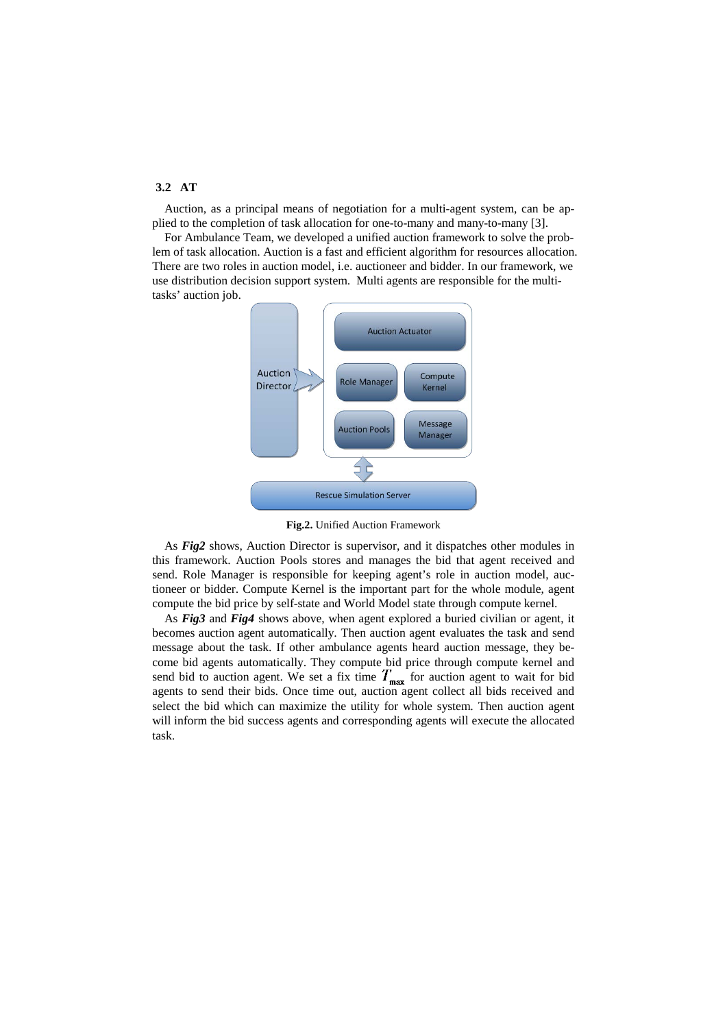# **3.2 AT**

Auction, as a principal means of negotiation for a multi-agent system, can be applied to the completion of task allocation for one-to-many and many-to-many [3].

For Ambulance Team, we developed a unified auction framework to solve the problem of task allocation. Auction is a fast and efficient algorithm for resources allocation. There are two roles in auction model, i.e. auctioneer and bidder. In our framework, we use distribution decision support system. Multi agents are responsible for the multitasks' auction job.



**Fig.2.** Unified Auction Framework

As *Fig2* shows, Auction Director is supervisor, and it dispatches other modules in this framework. Auction Pools stores and manages the bid that agent received and send. Role Manager is responsible for keeping agent's role in auction model, auctioneer or bidder. Compute Kernel is the important part for the whole module, agent compute the bid price by self-state and World Model state through compute kernel.

As *Fig3* and *Fig4* shows above, when agent explored a buried civilian or agent, it becomes auction agent automatically. Then auction agent evaluates the task and send message about the task. If other ambulance agents heard auction message, they become bid agents automatically. They compute bid price through compute kernel and send bid to auction agent. We set a fix time  $T_{\text{max}}$  for auction agent to wait for bid agents to send their bids. Once time out, auction agent collect all bids received and select the bid which can maximize the utility for whole system. Then auction agent will inform the bid success agents and corresponding agents will execute the allocated task.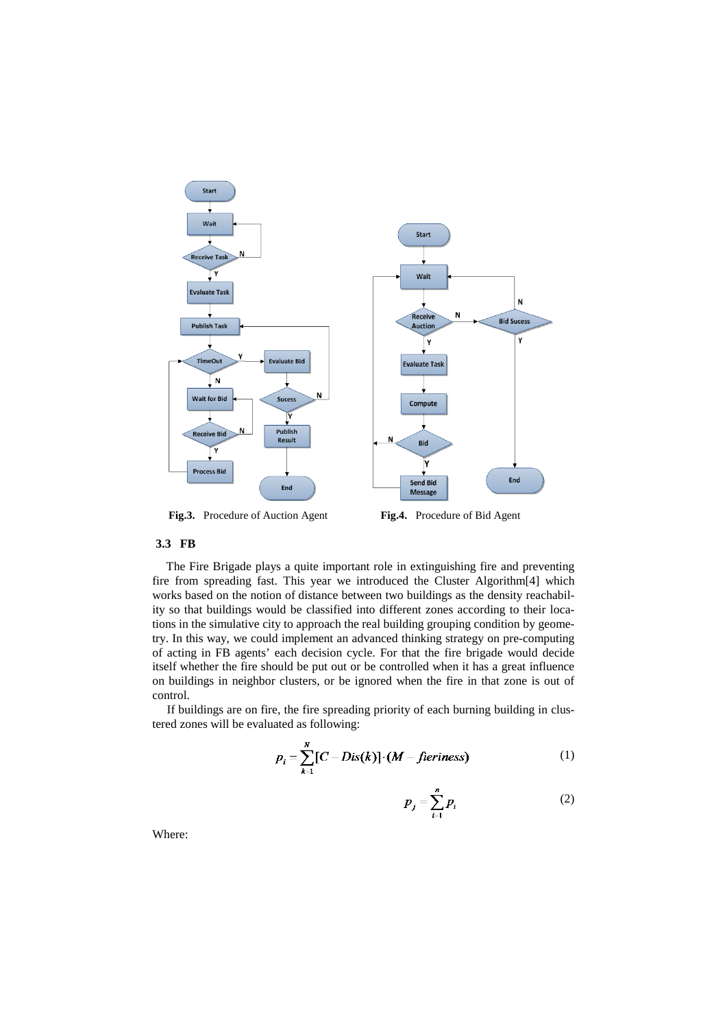

**Fig.3.** Procedure of Auction Agent **Fig.4.** Procedure of Bid Agent

# **3.3 FB**

The Fire Brigade plays a quite important role in extinguishing fire and preventing fire from spreading fast. This year we introduced the Cluster Algorithm[4] which works based on the notion of distance between two buildings as the density reachability so that buildings would be classified into different zones according to their locations in the simulative city to approach the real building grouping condition by geometry. In this way, we could implement an advanced thinking strategy on pre-computing of acting in FB agents' each decision cycle. For that the fire brigade would decide itself whether the fire should be put out or be controlled when it has a great influence on buildings in neighbor clusters, or be ignored when the fire in that zone is out of control.

If buildings are on fire, the fire spreading priority of each burning building in clustered zones will be evaluated as following:

$$
p_i = \sum_{k=1}^{N} [C - Dis(k)] \cdot (M - fieriness)
$$
 (1)

$$
p_j = \sum_{i=1}^n p_i \tag{2}
$$

Where: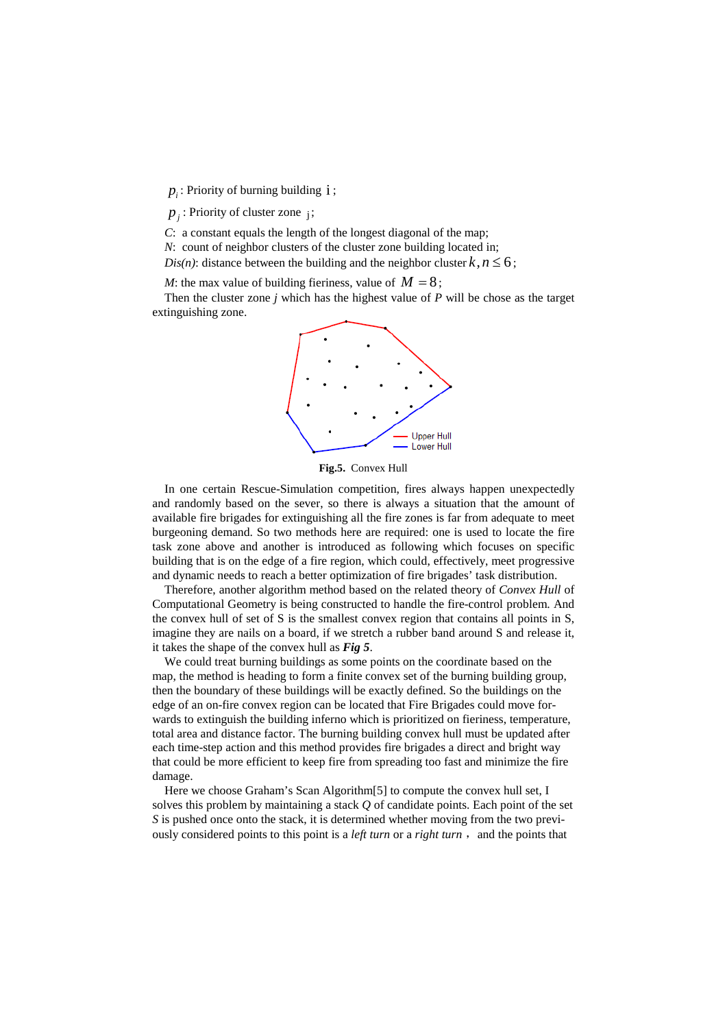$p_i$ : Priority of burning building  $i$ ;

 $p_i$ : Priority of cluster zone  $i$ ;

*C*: a constant equals the length of the longest diagonal of the map;

*N*: count of neighbor clusters of the cluster zone building located in;

*Dis(n)*: distance between the building and the neighbor cluster  $k, n \le 6$ ;

*M*: the max value of building fieriness, value of  $M = 8$ ;

Then the cluster zone *j* which has the highest value of *P* will be chose as the target extinguishing zone.



**Fig.5.** Convex Hull

In one certain Rescue-Simulation competition, fires always happen unexpectedly and randomly based on the sever, so there is always a situation that the amount of available fire brigades for extinguishing all the fire zones is far from adequate to meet burgeoning demand. So two methods here are required: one is used to locate the fire task zone above and another is introduced as following which focuses on specific building that is on the edge of a fire region, which could, effectively, meet progressive and dynamic needs to reach a better optimization of fire brigades' task distribution.

Therefore, another algorithm method based on the related theory of *Convex Hull* of Computational Geometry is being constructed to handle the fire-control problem. And the convex hull of set of S is the smallest convex region that contains all points in S, imagine they are nails on a board, if we stretch a rubber band around S and release it, it takes the shape of the convex hull as *Fig 5*.

We could treat burning buildings as some points on the coordinate based on the map, the method is heading to form a finite convex set of the burning building group, then the boundary of these buildings will be exactly defined. So the buildings on the edge of an on-fire convex region can be located that Fire Brigades could move forwards to extinguish the building inferno which is prioritized on fieriness, temperature, total area and distance factor. The burning building convex hull must be updated after each time-step action and this method provides fire brigades a direct and bright way that could be more efficient to keep fire from spreading too fast and minimize the fire damage.

Here we choose Graham's Scan Algorithm[5] to compute the convex hull set, I solves this problem by maintaining a stack *Q* of candidate points. Each point of the set *S* is pushed once onto the stack, it is determined whether moving from the two previously considered points to this point is a *left turn* or a *right turn*, and the points that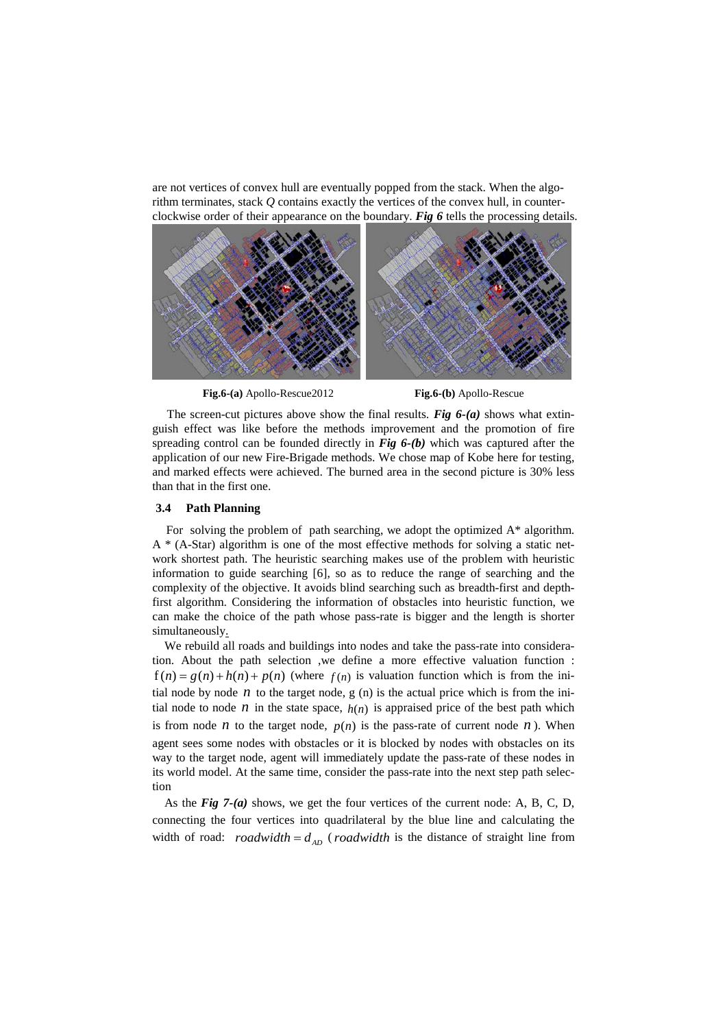are not vertices of convex hull are eventually popped from the stack. When the algorithm terminates, stack *Q* contains exactly the vertices of the convex hull, in counterclockwise order of their appearance on the boundary. *Fig 6* tells the processing details.



**Fig.6-(a)** Apollo-Rescue2012 **Fig.6-(b)** Apollo-Rescue

The screen-cut pictures above show the final results. *Fig 6-(a)* shows what extinguish effect was like before the methods improvement and the promotion of fire spreading control can be founded directly in *Fig 6-(b)* which was captured after the application of our new Fire-Brigade methods. We chose map of Kobe here for testing, and marked effects were achieved. The burned area in the second picture is 30% less than that in the first one.

### **3.4 Path Planning**

For solving the problem of path searching, we adopt the optimized  $A^*$  algorithm.  $A * (A-Star)$  algorithm is one of the most effective methods for solving a static network shortest path. The heuristic searching makes use of the problem with heuristic information to guide searching [6], so as to reduce the range of searching and the complexity of the objective. It avoids blind searching such as breadth-first and depthfirst algorithm. Considering the information of obstacles into heuristic function, we can make the choice of the path whose pass-rate is bigger and the length is shorter simultaneously.

We rebuild all roads and buildings into nodes and take the pass-rate into consideration. About the path selection ,we define a more effective valuation function :  $f(n) = g(n) + h(n) + p(n)$  (where  $f(n)$  is valuation function which is from the initial node by node  $n$  to the target node,  $g(n)$  is the actual price which is from the initial node to node  $n$  in the state space,  $h(n)$  is appraised price of the best path which is from node *n* to the target node,  $p(n)$  is the pass-rate of current node *n*). When agent sees some nodes with obstacles or it is blocked by nodes with obstacles on its way to the target node, agent will immediately update the pass-rate of these nodes in its world model. At the same time, consider the pass-rate into the next step path selection

As the *Fig 7-(a)* shows, we get the four vertices of the current node: A, B, C, D, connecting the four vertices into quadrilateral by the blue line and calculating the width of road: *roadwidth* =  $d_{AD}$  (*roadwidth* is the distance of straight line from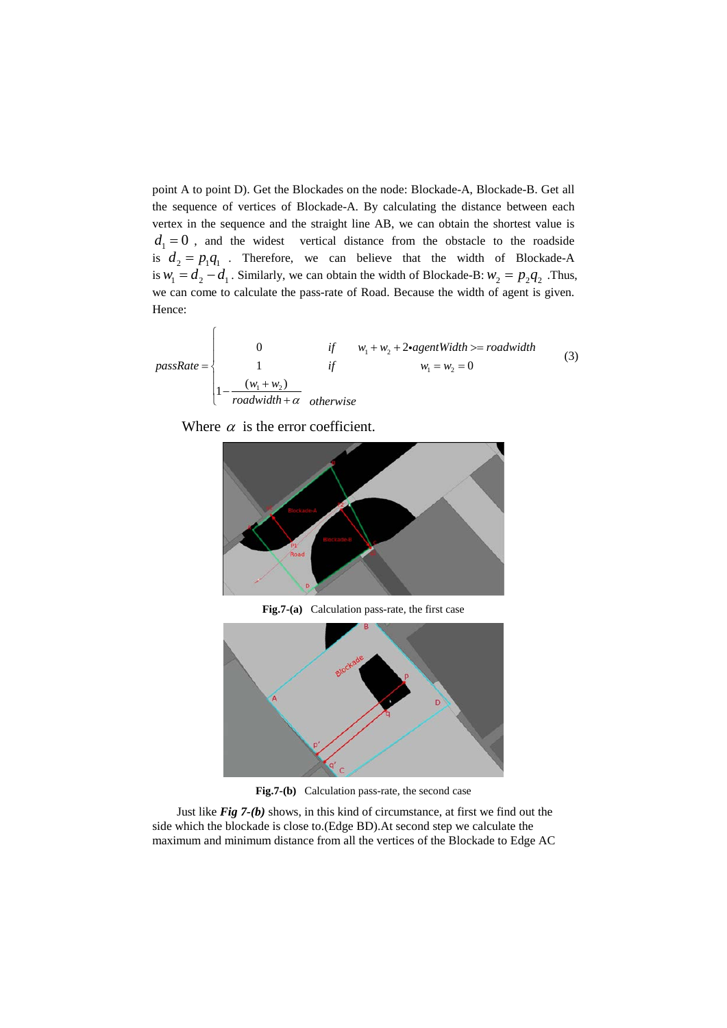point A to point D). Get the Blockades on the node: Blockade-A, Blockade-B. Get all the sequence of vertices of Blockade-A. By calculating the distance between each vertex in the sequence and the straight line AB, we can obtain the shortest value is  $d_1 = 0$ , and the widest vertical distance from the obstacle to the roadside is  $d_2 = p_1 q_1$ . Therefore, we can believe that the width of Blockade-A is  $w_1 = d_2 - d_1$ . Similarly, we can obtain the width of Blockade-B:  $w_2 = p_2 q_2$ . Thus, we can come to calculate the pass-rate of Road. Because the width of agent is given. Hence:

$$
passRate = \begin{cases}\n0 & \text{if } w_1 + w_2 + 2\text{-}agentWidth >= roadwidth \\
1 & \text{if } w_1 = w_2 = 0 \\
1 - \frac{(w_1 + w_2)}{roadwidth + \alpha} & \text{otherwise}\n\end{cases} \tag{3}
$$

Where  $\alpha$  is the error coefficient.



**Fig.7-(a)** Calculation pass-rate, the first case



**Fig.7-(b)** Calculation pass-rate, the second case

Just like *Fig 7-(b)* shows, in this kind of circumstance, at first we find out the side which the blockade is close to.(Edge BD).At second step we calculate the maximum and minimum distance from all the vertices of the Blockade to Edge AC